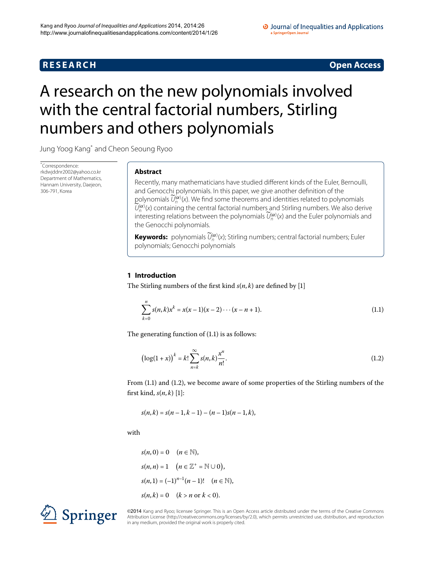# **R E S E A R C H Open Access**

### O Journal of Inequalities and Applications a SpringerOpen Journal

# <span id="page-0-0"></span>A research on the new polynomials involved with the central factorial numbers, Stirling numbers and others polynomials

Jung Yoog Kan[g\\*](#page-0-0) and Cheon Seoung Ryoo

\* Correspondence: [rkdwjddnr2002@yahoo.co.kr](mailto:rkdwjddnr2002@yahoo.co.kr) Department of Mathematics, Hannam University, Daejeon, 306-791, Korea

# **Abstract**

Recently, many mathematicians have studied different kinds of the Euler, Bernoulli, and Genocchi polynomials. In this paper, we give another definition of the polynomials  $\widetilde{U}_n^{(\alpha)}(x)$ . We find some theorems and identities related to polynomials  $\widetilde{U}_{n}^{(\alpha)}(x)$  containing the central factorial numbers and Stirling numbers. We also derive interesting relations between the polynomials  $\widetilde{U}_n^{(\alpha)}(x)$  and the Euler polynomials and the Genocchi polynomials.

<span id="page-0-1"></span>**Keywords:** polynomials  $\widetilde{U}_n^{(\alpha)}(x)$ ; Stirling numbers; central factorial numbers; Euler polynomials; Genocchi polynomials

### **1 Introduction**

The Stirling numbers of the first kind  $s(n, k)$  are defined by [1[\]](#page-9-0)

<span id="page-0-2"></span>
$$
\sum_{k=0}^{n} s(n,k)x^{k} = x(x-1)(x-2)\cdots(x-n+1).
$$
 (1.1)

The generating function of  $(1.1)$  $(1.1)$  $(1.1)$  is as follows:

$$
\left(\log(1+x)\right)^k = k! \sum_{n=k}^{\infty} s(n,k) \frac{x^n}{n!}.
$$
\n(1.2)

From  $(1.1)$  and  $(1.2)$ , we become aware of some properties of the Stirling numbers of the first kind,  $s(n, k)$  [\[](#page-9-0)1]:

 $s(n, k) = s(n-1, k-1) - (n-1)s(n-1, k),$ 

with

 $s(n, 0) = 0 \quad (n \in \mathbb{N}),$  $s(n, n) = 1 \quad (n \in \mathbb{Z}^+ = \mathbb{N} \cup 0),$  $s(n, 1) = (-1)^{n-1}(n-1)!$   $(n \in \mathbb{N}),$  $s(n, k) = 0$   $(k > n \text{ or } k < 0).$ 



©2014 Kang and Ryoo; licensee Springer. This is an Open Access article distributed under the terms of the Creative Commons Attribution License [\(http://creativecommons.org/licenses/by/2.0](http://creativecommons.org/licenses/by/2.0)), which permits unrestricted use, distribution, and reproduction in any medium, provided the original work is properly cited.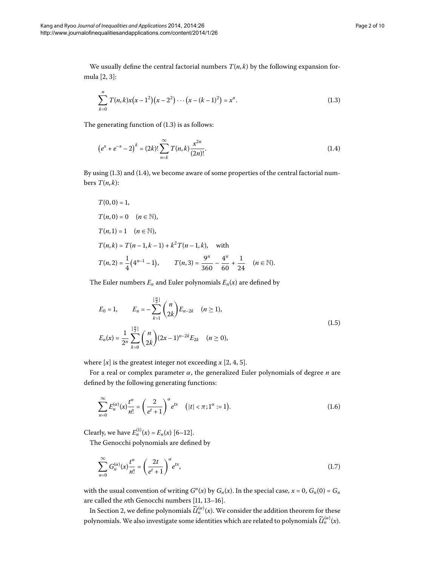We usually define the central factorial numbers  $T(n, k)$  by the following expansion for-mula [2[,](#page-9-1) 3]:

<span id="page-1-1"></span><span id="page-1-0"></span>
$$
\sum_{k=0}^{n} T(n,k)x(x-1^2)(x-2^2)\cdots(x-(k-1)^2) = x^n.
$$
\n(1.3)

The generating function of  $(1.3)$  $(1.3)$  $(1.3)$  is as follows:

$$
(e^{x} + e^{-x} - 2)^{k} = (2k)! \sum_{n=k}^{\infty} T(n,k) \frac{x^{2n}}{(2n)!}.
$$
 (1.4)

By using  $(1.3)$  and  $(1.4)$ , we become aware of some properties of the central factorial numbers  $T(n, k)$ :

$$
T(0,0) = 1,
$$
  
\n
$$
T(n,0) = 0 \quad (n \in \mathbb{N}),
$$
  
\n
$$
T(n,1) = 1 \quad (n \in \mathbb{N}),
$$
  
\n
$$
T(n,k) = T(n-1,k-1) + k^2 T(n-1,k), \text{ with}
$$
  
\n
$$
T(n,2) = \frac{1}{4} (4^{n-1} - 1), \qquad T(n,3) = \frac{9^n}{360} - \frac{4^n}{60} + \frac{1}{24} \quad (n \in \mathbb{N}).
$$

The Euler numbers  $E_n$  and Euler polynomials  $E_n(x)$  are defined by

$$
E_0 = 1, \qquad E_n = -\sum_{k=1}^{\lfloor \frac{n}{2} \rfloor} \binom{n}{2k} E_{n-2k} \quad (n \ge 1),
$$
  

$$
E_n(x) = \frac{1}{2^n} \sum_{k=0}^{\lfloor \frac{n}{2} \rfloor} \binom{n}{2k} (2x-1)^{n-2k} E_{2k} \quad (n \ge 0),
$$
 (1.5)

where  $[x]$  is the greatest integer not exceeding  $x$  [2[,](#page-9-3) 4, 5].

For a real or complex parameter *α*, the generalized Euler polynomials of degree *n* are defined by the following generating functions:

$$
\sum_{n=0}^{\infty} E_n^{(\alpha)}(x) \frac{t^n}{n!} = \left(\frac{2}{e^t + 1}\right)^{\alpha} e^{tx} \quad (|t| < \pi; 1^{\alpha} := 1). \tag{1.6}
$$

Clearly, we have  $E_n^{(1)}(x) = E_n(x)$  [6–12[\]](#page-9-6).

The Genocchi polynomials are defined by

$$
\sum_{n=0}^{\infty} G_n^{(\alpha)}(x) \frac{t^n}{n!} = \left(\frac{2t}{e^t + 1}\right)^{\alpha} e^{tx},\tag{1.7}
$$

with the usual convention of writing  $G<sup>n</sup>(x)$  by  $G<sub>n</sub>(x)$ . In the special case,  $x = 0$ ,  $G<sub>n</sub>(0) = G<sub>n</sub>$ are called the *n*th Genocchi numbers [11, 13-16].

In Section 2[,](#page-2-0) we define polynomials  $\widetilde{\mathcal{U}}^{(\alpha)}_n(x)$ . We consider the addition theorem for these polynomials. We also investigate some identities which are related to polynomials  $\widetilde{\mathcal{U}}^{(\alpha)}_n(x)$ .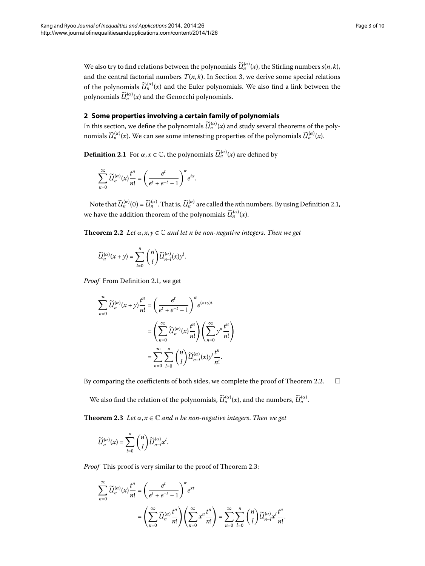<span id="page-2-1"></span><span id="page-2-0"></span>We also try to find relations between the polynomials  $\widetilde{U}_n^{(\alpha)}(x)$ , the Stirling numbers  $s(n, k)$ , and the central factorial numbers  $T(n, k)$  $T(n, k)$  $T(n, k)$ . In Section 3, we derive some special relations of the polynomials  $\widetilde{\mathcal{U}}_n^{(\alpha)}(x)$  and the Euler polynomials. We also find a link between the polynomials  $\widetilde{U}_n^{(\alpha)}(x)$  and the Genocchi polynomials.

## **2 Some properties involving a certain family of polynomials**

In this section, we define the polynomials  $\widetilde{U}_n^{(\alpha)}(x)$  and study several theorems of the polynomials  $\widetilde{\mathcal{U}}^{(\alpha)}_n(x)$ . We can see some interesting properties of the polynomials  $\widetilde{\mathcal{U}}^{(\alpha)}_n(x)$ .

<span id="page-2-2"></span>**Definition 2.1** For  $\alpha, x \in \mathbb{C}$ , the polynomials  $\widetilde{\mathcal{U}}_n^{(\alpha)}(x)$  are defined by

$$
\sum_{n=0}^{\infty} \widetilde{U}_n^{(\alpha)}(x) \frac{t^n}{n!} = \left(\frac{e^t}{e^t + e^{-t} - 1}\right)^{\alpha} e^{tx}.
$$

Note that  $\widetilde{\mathcal{U}}^{(\alpha)}_n(0)=\widetilde{\mathcal{U}}^{(\alpha)}_n.$  That is,  $\widetilde{\mathcal{U}}^{(\alpha)}_n$  are called the *n*th numbers. By using Definition 2.1, we have the addition theorem of the polynomials  $\widetilde{U}_n^{(\alpha)}(x)$ .

**Theorem 2.2** Let  $\alpha$ ,  $x, y \in \mathbb{C}$  and let *n* be non-negative integers. Then we get

$$
\widetilde{U}_n^{(\alpha)}(x+y)=\sum_{l=0}^n\binom{n}{l}\widetilde{U}_{n-l}^{(\alpha)}(x)y^l.
$$

*Proof* From Definition 2[.](#page-2-1)1, we get

$$
\sum_{n=0}^{\infty} \widetilde{U}_n^{(\alpha)}(x+y) \frac{t^n}{n!} = \left(\frac{e^t}{e^t + e^{-t} - 1}\right)^{\alpha} e^{(x+y)t}
$$

$$
= \left(\sum_{n=0}^{\infty} \widetilde{U}_n^{(\alpha)}(x) \frac{t^n}{n!} \right) \left(\sum_{n=0}^{\infty} y^n \frac{t^n}{n!} \right)
$$

$$
= \sum_{n=0}^{\infty} \sum_{l=0}^n {n \choose l} \widetilde{U}_{n-l}^{(\alpha)}(x) y^l \frac{t^n}{n!}.
$$

<span id="page-2-3"></span>By comparing the coefficients of both sides, we complete the proof of Theorem 2[.](#page-2-2)2.  $\Box$ 

 $\overline{ }$ 

We also find the relation of the polynomials,  $\widetilde{U}_n^{(\alpha)}(x)$ , and the numbers,  $\widetilde{U}_n^{(\alpha)}$ .

**Theorem 2.3** Let  $\alpha, x \in \mathbb{C}$  and n be non-negative integers. Then we get

$$
\widetilde{U}_n^{(\alpha)}(x) = \sum_{l=0}^n \binom{n}{l} \widetilde{U}_{n-l}^{(\alpha)} x^l.
$$

*Proof* This proof is very similar to the proof of Theorem 2.3:

$$
\sum_{n=0}^{\infty} \widetilde{U}_n^{(\alpha)}(x) \frac{t^n}{n!} = \left(\frac{e^t}{e^t + e^{-t} - 1}\right)^{\alpha} e^{xt}
$$

$$
= \left(\sum_{n=0}^{\infty} \widetilde{U}_n^{(\alpha)} \frac{t^n}{n!} \right) \left(\sum_{n=0}^{\infty} x^n \frac{t^n}{n!} \right) = \sum_{n=0}^{\infty} \sum_{l=0}^n {n \choose l} \widetilde{U}_{n-l}^{(\alpha)} x^l \frac{t^n}{n!}.
$$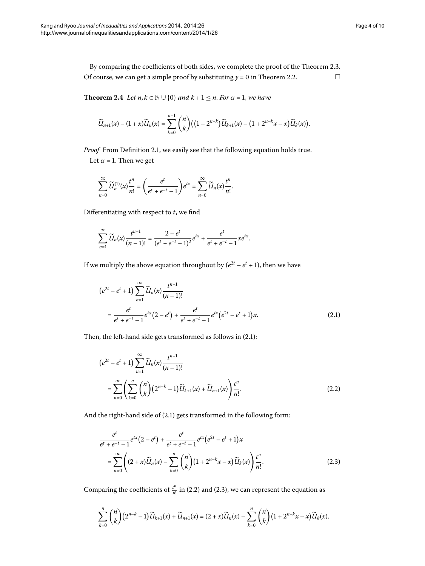<span id="page-3-3"></span>By comparing the coefficients of both sides, we complete the proof of the Theorem 2.3. Of course, we can get a simple proof by substituting  $y = 0$  in Theorem 2[.](#page-2-2)2.  $\Box$ 

**Theorem 2.4** *Let*  $n, k \in \mathbb{N} \cup \{0\}$  *and*  $k + 1 \le n$ *. For*  $\alpha = 1$ *, we have* 

$$
\widetilde{U}_{n+1}(x) - (1+x)\widetilde{U}_n(x) = \sum_{k=0}^{n-1} \binom{n}{k} \big( \big(1-2^{n-k}\big) \widetilde{U}_{k+1}(x) - \big(1+2^{n-k}x-x\big) \widetilde{U}_k(x) \big).
$$

*Proof* From Definition 2[.](#page-2-1)1, we easily see that the following equation holds true. Let  $\alpha$  = 1. Then we get

$$
\sum_{n=0}^{\infty} \widetilde{U}_n^{(1)}(x) \frac{t^n}{n!} = \left(\frac{e^t}{e^t + e^{-t} - 1}\right) e^{tx} = \sum_{n=0}^{\infty} \widetilde{U}_n(x) \frac{t^n}{n!}.
$$

Differentiating with respect to *t*, we find

<span id="page-3-0"></span>
$$
\sum_{n=1}^{\infty} \widetilde{U}_n(x) \frac{t^{n-1}}{(n-1)!} = \frac{2-e^t}{(e^t+e^{-t}-1)^2} e^{tx} + \frac{e^t}{e^t+e^{-t}-1} x e^{tx}.
$$

If we multiply the above equation throughout by  $(e^{2t} - e^t + 1)$ , then we have

$$
(e^{2t} - e^t + 1) \sum_{n=1}^{\infty} \widetilde{U}_n(x) \frac{t^{n-1}}{(n-1)!}
$$
  
= 
$$
\frac{e^t}{e^t + e^{-t} - 1} e^{tx} (2 - e^t) + \frac{e^t}{e^t + e^{-t} - 1} e^{tx} (e^{2t} - e^t + 1) x.
$$
 (2.1)

Then, the left-hand side gets transformed as follows in  $(2.1)$  $(2.1)$  $(2.1)$ :

<span id="page-3-1"></span>
$$
(e^{2t} - e^t + 1) \sum_{n=1}^{\infty} \widetilde{U}_n(x) \frac{t^{n-1}}{(n-1)!}
$$
  
= 
$$
\sum_{n=0}^{\infty} \left( \sum_{k=0}^{n} {n \choose k} (2^{n-k} - 1) \widetilde{U}_{k+1}(x) + \widetilde{U}_{n+1}(x) \right) \frac{t^n}{n!}.
$$
 (2.2)

And the right-hand side of  $(2.1)$  gets transformed in the following form:

<span id="page-3-2"></span>
$$
\frac{e^t}{e^t + e^{-t} - 1} e^{tx} (2 - e^t) + \frac{e^t}{e^t + e^{-t} - 1} e^{tx} (e^{2t} - e^t + 1) x
$$
\n
$$
= \sum_{n=0}^{\infty} \left( (2 + x) \widetilde{U}_n(x) - \sum_{k=0}^n \binom{n}{k} (1 + 2^{n-k} x - x) \widetilde{U}_k(x) \right) \frac{t^n}{n!}.
$$
\n(2.3)

Comparing the coefficients of  $\frac{t^n}{n!}$  in (2[.](#page-3-1)2) and (2.3), we can represent the equation as

$$
\sum_{k=0}^n \binom{n}{k} (2^{n-k}-1) \widetilde{U}_{k+1}(x)+\widetilde{U}_{n+1}(x)=(2+x)\widetilde{U}_n(x)-\sum_{k=0}^n \binom{n}{k} (1+2^{n-k}x-x) \widetilde{U}_k(x).
$$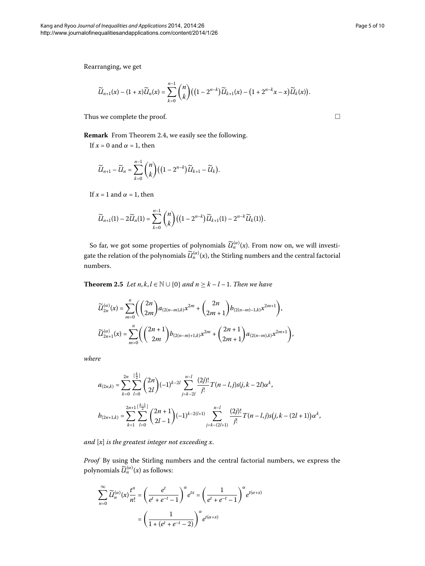Rearranging, we get

$$
\widetilde{U}_{n+1}(x) - (1+x)\widetilde{U}_n(x) = \sum_{k=0}^{n-1} {n \choose k} \big( (1-2^{n-k}) \widetilde{U}_{k+1}(x) - (1+2^{n-k}x-x) \widetilde{U}_k(x) \big).
$$

Thus we complete the proof.

**Remark** From Theorem 2[.](#page-3-3)4, we easily see the following.

If  $x = 0$  and  $\alpha = 1$ , then

$$
\widetilde{U}_{n+1}-\widetilde{U}_n=\sum_{k=0}^{n-1}\binom{n}{k}\big(\big(1-2^{n-k}\big)\widetilde{U}_{k+1}-\widetilde{U}_k\big).
$$

If  $x = 1$  and  $\alpha = 1$ , then

<span id="page-4-0"></span>
$$
\widetilde{U}_{n+1}(1) - 2\widetilde{U}_n(1) = \sum_{k=0}^{n-1} {n \choose k} \big( \big(1 - 2^{n-k} \big) \widetilde{U}_{k+1}(1) - 2^{n-k} \widetilde{U}_k(1) \big).
$$

So far, we got some properties of polynomials  $\widetilde{U}_n^{(\alpha)}(x)$ . From now on, we will investigate the relation of the polynomials  $\widetilde{\mathcal{U}}^{(\alpha)}_n(x)$ , the Stirling numbers and the central factorial numbers.

**Theorem 2.5** *Let*  $n, k, l \in \mathbb{N} \cup \{0\}$  *and*  $n \geq k - l - 1$ *. Then we have* 

$$
\begin{split} &\widetilde{U}_{2n}^{(\alpha)}(x)=\sum_{m=0}^{n}\Biggl(\binom{2n}{2m}a_{(2(n-m),k)}x^{2m}+\binom{2n}{2m+1}b_{(2(n-m)-1,k)}x^{2m+1}\Biggr),\\ &\widetilde{U}_{2n+1}^{(\alpha)}(x)=\sum_{m=0}^{n}\Biggl(\binom{2n+1}{2m}b_{(2(n-m)+1,k)}x^{2m}+\binom{2n+1}{2m+1}a_{(2(n-m),k)}x^{2m+1}\Biggr), \end{split}
$$

*where*

$$
\begin{split} a_{(2n,k)}&=\sum_{k=0}^{2n}\sum_{l=0}^{\lfloor\frac{k}{2}\rfloor}\binom{2n}{2l}(-1)^{k-2l}\sum_{j=k-2l}^{n-l}\frac{(2j)!}{j!}T(n-l,j)s(j,k-2l)\alpha^{k},\\ b_{(2n+1,k)}&=\sum_{k=1}^{2n+1}\sum_{l=0}^{\lfloor\frac{k-1}{2}\rfloor}\binom{2n+1}{2l-1}(-1)^{k-2(l+1)}\sum_{j=k-(2l+1)}^{n-l}\frac{(2j)!}{j!}T(n-l,j)s(j,k-(2l+1))\alpha^{k}, \end{split}
$$

*and* [*x*] *is the greatest integer not exceeding x*.

*Proof* By using the Stirling numbers and the central factorial numbers, we express the polynomials  $\widetilde{U}_n^{(\alpha)}(x)$  as follows:

$$
\sum_{n=0}^{\infty} \widetilde{U}_n^{(\alpha)}(x) \frac{t^n}{n!} = \left(\frac{e^t}{e^t + e^{-t} - 1}\right)^{\alpha} e^{tx} = \left(\frac{1}{e^t + e^{-t} - 1}\right)^{\alpha} e^{t(\alpha + x)}
$$

$$
= \left(\frac{1}{1 + (e^t + e^{-t} - 2)}\right)^{\alpha} e^{t(\alpha + x)}
$$

 $\Box$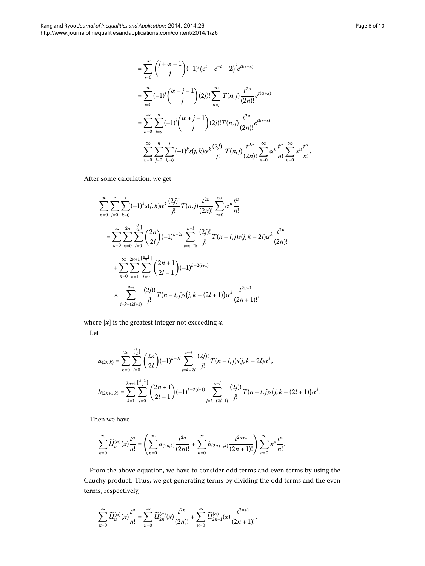$$
= \sum_{j=0}^{\infty} {j+\alpha-1 \choose j} (-1)^j (e^t + e^{-t} - 2)^j e^{t(\alpha+x)}
$$
  
\n
$$
= \sum_{j=0}^{\infty} (-1)^j {(\alpha+j-1 \choose j)} (2j)! \sum_{n=j}^{\infty} T(n,j) \frac{t^{2n}}{(2n)!} e^{t(\alpha+x)}
$$
  
\n
$$
= \sum_{n=0}^{\infty} \sum_{j=0}^{n} (-1)^j {(\alpha+j-1 \choose j)} (2j)! T(n,j) \frac{t^{2n}}{(2n)!} e^{t(\alpha+x)}
$$
  
\n
$$
= \sum_{n=0}^{\infty} \sum_{j=0}^{n} \sum_{k=0}^{j} (-1)^k s(j,k) \alpha^k \frac{(2j)!}{j!} T(n,j) \frac{t^{2n}}{(2n)!} \sum_{n=0}^{\infty} \alpha^n \frac{t^n}{n!} \sum_{n=0}^{\infty} x^n \frac{t^n}{n!}.
$$

After some calculation, we get

$$
\sum_{n=0}^{\infty} \sum_{j=0}^{n} \sum_{k=0}^{j} (-1)^{k} s(j,k) \alpha^{k} \frac{(2j)!}{j!} T(n,j) \frac{t^{2n}}{(2n)!} \sum_{n=0}^{\infty} \alpha^{n} \frac{t^{n}}{n!}
$$
  
\n
$$
= \sum_{n=0}^{\infty} \sum_{k=0}^{2n} \sum_{l=0}^{\lfloor \frac{k}{2} \rfloor} {2n \choose 2l} (-1)^{k-2l} \sum_{j=k-2l}^{n-l} \frac{(2j)!}{j!} T(n-l,j)s(j,k-2l) \alpha^{k} \frac{t^{2n}}{(2n)!}
$$
  
\n
$$
+ \sum_{n=0}^{\infty} \sum_{k=1}^{2n+1} \sum_{l=0}^{\lfloor \frac{k-1}{2} \rfloor} {2n+1 \choose 2l-1} (-1)^{k-2(l+1)}
$$
  
\n
$$
\times \sum_{j=k-(2l+1)}^{n-l} \frac{(2j)!}{j!} T(n-l,j)s(j,k-(2l+1)) \alpha^{k} \frac{t^{2n+1}}{(2n+1)!},
$$

where  $[x]$  is the greatest integer not exceeding  $x$ . Let

$$
a_{(2n,k)} = \sum_{k=0}^{2n} \sum_{l=0}^{\lfloor \frac{k}{2} \rfloor} \binom{2n}{2l} (-1)^{k-2l} \sum_{j=k-2l}^{n-l} \frac{(2j)!}{j!} T(n-l,j)s(j,k-2l)\alpha^{k},
$$
  

$$
b_{(2n+1,k)} = \sum_{k=1}^{2n+1} \sum_{l=0}^{\lfloor \frac{k-1}{2} \rfloor} \binom{2n+1}{2l-1} (-1)^{k-2(l+1)} \sum_{j=k-(2l+1)}^{n-l} \frac{(2j)!}{j!} T(n-l,j)s(j,k-(2l+1))\alpha^{k}.
$$

Then we have

$$
\sum_{n=0}^{\infty} \widetilde{U}_n^{(\alpha)}(x) \frac{t^n}{n!} = \left( \sum_{n=0}^{\infty} a_{(2n,k)} \frac{t^{2n}}{(2n)!} + \sum_{n=0}^{\infty} b_{(2n+1,k)} \frac{t^{2n+1}}{(2n+1)!} \right) \sum_{n=0}^{\infty} x^n \frac{t^n}{n!}.
$$

From the above equation, we have to consider odd terms and even terms by using the Cauchy product. Thus, we get generating terms by dividing the odd terms and the even terms, respectively,

$$
\sum_{n=0}^{\infty} \widetilde{U}_n^{(\alpha)}(x) \frac{t^n}{n!} = \sum_{n=0}^{\infty} \widetilde{U}_{2n}^{(\alpha)}(x) \frac{t^{2n}}{(2n)!} + \sum_{n=0}^{\infty} \widetilde{U}_{2n+1}^{(\alpha)}(x) \frac{t^{2n+1}}{(2n+1)!}.
$$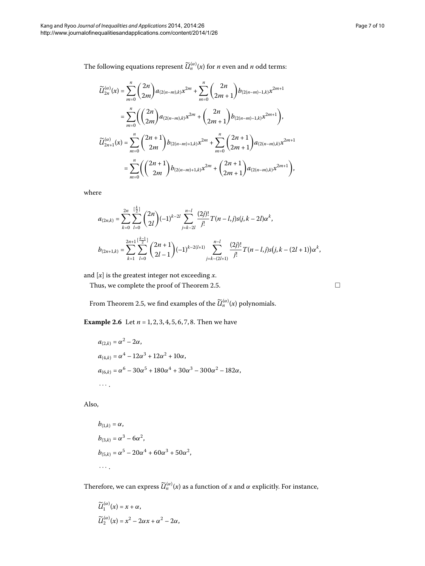The following equations represent  $\widetilde{\mathcal{U}}^{(\alpha)}_{n}(x)$  for *n* even and *n* odd terms:

$$
\widetilde{U}_{2n}^{(\alpha)}(x) = \sum_{m=0}^{n} {2n \choose 2m} a_{(2(n-m),k)} x^{2m} + \sum_{m=0}^{n} {2n \choose 2m+1} b_{(2(n-m)-1,k)} x^{2m+1}
$$
  
\n
$$
= \sum_{m=0}^{n} {2n \choose 2m} a_{(2(n-m),k)} x^{2m} + {2n \choose 2m+1} b_{(2(n-m)-1,k)} x^{2m+1},
$$
  
\n
$$
\widetilde{U}_{2n+1}^{(\alpha)}(x) = \sum_{m=0}^{n} {2n+1 \choose 2m} b_{(2(n-m)+1,k)} x^{2m} + \sum_{m=0}^{n} {2n+1 \choose 2m+1} a_{(2(n-m),k)} x^{2m+1}
$$
  
\n
$$
= \sum_{m=0}^{n} {2n+1 \choose 2m} b_{(2(n-m)+1,k)} x^{2m} + {2n+1 \choose 2m+1} a_{(2(n-m),k)} x^{2m+1},
$$

where

$$
\begin{split} a_{(2n,k)}&=\sum_{k=0}^{2n}\sum_{l=0}^{[\frac{k}{2}]}{2n\choose 2l}(-1)^{k-2l}\sum_{j=k-2l}^{n-l}{(2j)! \over j!}T(n-l,j)s(j,k-2l)\alpha^{k},\\ b_{(2n+1,k)}&=\sum_{k=1}^{2n+1}{[\frac{k-1}{2}]\over j=0}{2n+1 \choose 2l-1}(-1)^{k-2(l+1)}\sum_{j=k-(2l+1)}^{n-l}{(2j)! \over j!}T(n-l,j)s(j,k-(2l+1))\alpha^{k}, \end{split}
$$

and [*x*] is the greatest integer not exceeding *x*.

Thus, we complete the proof of Theorem 2.5.

From Theorem 2.5, we find examples of the  $\widetilde{\mathcal{U}}^{(\alpha)}_n(x)$  polynomials.

**Example 2.6** Let  $n = 1, 2, 3, 4, 5, 6, 7, 8$ . Then we have

$$
a_{(2,k)} = \alpha^2 - 2\alpha,
$$
  
\n
$$
a_{(4,k)} = \alpha^4 - 12\alpha^3 + 12\alpha^2 + 10\alpha,
$$
  
\n
$$
a_{(6,k)} = \alpha^6 - 30\alpha^5 + 180\alpha^4 + 30\alpha^3 - 300\alpha^2 - 182\alpha,
$$
  
\n...

Also,

$$
b_{(1,k)} = \alpha,
$$
  
\n
$$
b_{(3,k)} = \alpha^3 - 6\alpha^2,
$$
  
\n
$$
b_{(5,k)} = \alpha^5 - 20\alpha^4 + 60\alpha^3 + 50\alpha^2,
$$
  
\n...

Therefore, we can express  $\widetilde{\mathcal{U}}_{n}^{(\alpha)}(x)$  as a function of *x* and  $\alpha$  explicitly. For instance,

$$
\widetilde{U}_1^{(\alpha)}(x) = x + \alpha,
$$
  
\n
$$
\widetilde{U}_2^{(\alpha)}(x) = x^2 - 2\alpha x + \alpha^2 - 2\alpha,
$$

 $\Box$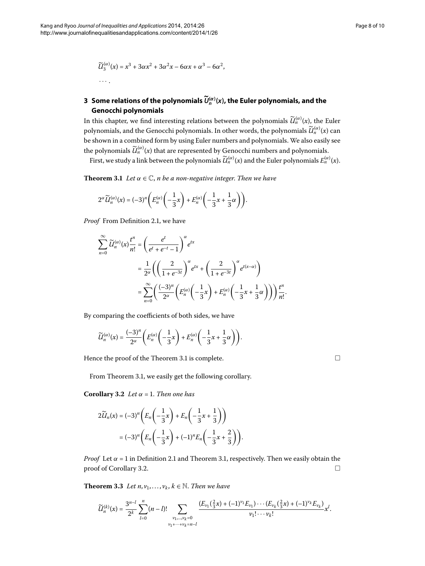··· .

$$
\widetilde{U}_3^{(\alpha)}(x) = x^3 + 3\alpha x^2 + 3\alpha^2 x - 6\alpha x + \alpha^3 - 6\alpha^2,
$$

# <span id="page-7-0"></span>**3 Some relations of the polynomials** *<sup>U</sup>***-(***α***)** *<sup>n</sup>* **(***x***), the Euler polynomials, and the Genocchi polynomials**

<span id="page-7-1"></span>In this chapter, we find interesting relations between the polynomials  $\widetilde{\mathcal{U}}^{(\alpha)}_n(x)$ , the Euler polynomials, and the Genocchi polynomials. In other words, the polynomials  $\widetilde{\mathcal{U}}^{(\alpha)}_{n}(x)$  can be shown in a combined form by using Euler numbers and polynomials. We also easily see the polynomials  $\widetilde{\mathcal{U}}^{(\alpha)}_{n}(x)$  that are represented by Genocchi numbers and polynomials.

First, we study a link between the polynomials  $\widetilde{U}_n^{(\alpha)}(x)$  and the Euler polynomials  $E_n^{(\alpha)}(x)$ .

**Theorem 3.1** Let  $\alpha \in \mathbb{C}$ , *n* be a non-negative integer. Then we have

$$
2^{\alpha} \widetilde{U}_n^{(\alpha)}(x) = (-3)^n \left( E_n^{(\alpha)} \left( -\frac{1}{3} x \right) + E_n^{(\alpha)} \left( -\frac{1}{3} x + \frac{1}{3} \alpha \right) \right).
$$

*Proof* From Definition 2[.](#page-2-1)1, we have

$$
\sum_{n=0}^{\infty} \widetilde{U}_n^{(\alpha)}(x) \frac{t^n}{n!} = \left(\frac{e^t}{e^t + e^{-t} - 1}\right)^{\alpha} e^{tx}
$$

$$
= \frac{1}{2^{\alpha}} \left(\left(\frac{2}{1 + e^{-3t}}\right)^{\alpha} e^{tx} + \left(\frac{2}{1 + e^{-3t}}\right)^{\alpha} e^{t(x-\alpha)}\right)
$$

$$
= \sum_{n=0}^{\infty} \left(\frac{(-3)^n}{2^{\alpha}} \left(E_n^{(\alpha)}\left(-\frac{1}{3}x\right) + E_n^{(\alpha)}\left(-\frac{1}{3}x + \frac{1}{3}\alpha\right)\right)\right) \frac{t^n}{n!}.
$$

<span id="page-7-2"></span>By comparing the coefficients of both sides, we have

$$
\widetilde{U}_n^{(\alpha)}(x) = \frac{(-3)^n}{2^{\alpha}} \left( E_n^{(\alpha)} \left( -\frac{1}{3} x \right) + E_n^{(\alpha)} \left( -\frac{1}{3} x + \frac{1}{3} \alpha \right) \right).
$$

Hence the proof of the Theorem 3[.](#page-7-1)1 is complete.

 $\Box$ 

From Theorem 3[.](#page-7-1)1, we easily get the following corollary.

**Corollary 3.2** *Let*  $\alpha = 1$ *. Then one has* 

$$
2\widetilde{U}_n(x) = (-3)^n \left( E_n \left( -\frac{1}{3}x \right) + E_n \left( -\frac{1}{3}x + \frac{1}{3} \right) \right)
$$
  
=  $(-3)^n \left( E_n \left( -\frac{1}{3}x \right) + (-1)^n E_n \left( -\frac{1}{3}x + \frac{2}{3} \right) \right).$ 

*Proof* Let  $\alpha = 1$  in Definition 2[.](#page-2-1)1 and Theorem 3.1, respectively. Then we easily obtain the proof of Corollary 3.2.  $\Box$ 

**Theorem 3.3** Let  $n, v_1, \ldots, v_k, k \in \mathbb{N}$ . Then we have

$$
\widetilde{U}_n^{(k)}(x) = \frac{3^{n-l}}{2^k} \sum_{l=0}^n (n-l)! \sum_{\substack{\nu_1,\dots,\nu_k=0 \\ \nu_1+\cdots+\nu_k=n-l}} \frac{(E_{\nu_1}(\frac{3}{3}x)+(-1)^{\nu_1}E_{\nu_1})\cdots (E_{\nu_k}(\frac{3}{3}x)+(-1)^{\nu_k}E_{\nu_k})}{\nu_1!\cdots\nu_k!}x^l.
$$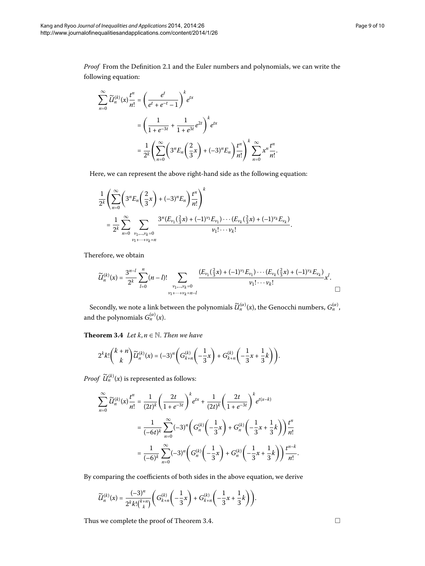*Proof* From the Definition 2[.](#page-2-1)1 and the Euler numbers and polynomials, we can write the following equation:

$$
\sum_{n=0}^{\infty} \widetilde{U}_{n}^{(k)}(x) \frac{t^{n}}{n!} = \left(\frac{e^{t}}{e^{t} + e^{-t} - 1}\right)^{k} e^{tx}
$$
  
=  $\left(\frac{1}{1 + e^{-3t}} + \frac{1}{1 + e^{3t}} e^{2t}\right)^{k} e^{tx}$   
=  $\frac{1}{2^{k}} \left(\sum_{n=0}^{\infty} \left(3^{n} E_{n}\left(\frac{2}{3}x\right) + (-3)^{n} E_{n}\right) \frac{t^{n}}{n!}\right)^{k} \sum_{n=0}^{\infty} x^{n} \frac{t^{n}}{n!}.$ 

Here, we can represent the above right-hand side as the following equation:

$$
\frac{1}{2^k}\left(\sum_{n=0}^{\infty}\left(3^nE_n\left(\frac{2}{3}x\right)+(-3)^nE_n\right)\frac{t^n}{n!}\right)^k
$$
\n
$$
=\frac{1}{2^k}\sum_{n=0}^{\infty}\sum_{\substack{\nu_1,\ldots,\nu_k=0\\ \nu_1+\cdots+\nu_k=n}}\frac{3^n(E_{\nu_1}(\frac{2}{3}x)+(-1)^{\nu_1}E_{\nu_1})\cdots(E_{\nu_k}(\frac{2}{3}x)+(-1)^{\nu_k}E_{\nu_k})}{\nu_1!\cdots\nu_k!}.
$$

<span id="page-8-0"></span>Therefore, we obtain

$$
\widetilde{U}_n^{(k)}(x) = \frac{3^{n-l}}{2^k} \sum_{l=0}^n (n-l)! \sum_{\substack{\nu_1, \dots, \nu_k = 0 \\ \nu_1 + \dots + \nu_k = n-l}} \frac{(E_{\nu_1}(\frac{2}{3}x) + (-1)^{\nu_1} E_{\nu_1}) \cdots (E_{\nu_k}(\frac{2}{3}x) + (-1)^{\nu_k} E_{\nu_k})}{\nu_1! \cdots \nu_k!} x^l.
$$

Secondly, we note a link between the polynomials  $\widetilde{\mathcal{U}}^{(\alpha)}_n(x)$ , the Genocchi numbers,  $G^{(\alpha)}_n$ , and the polynomials  $G_n^{(\alpha)}(x)$ .

**Theorem 3.4** *Let*  $k, n \in \mathbb{N}$ *. Then we have* 

$$
2^k k! \binom{k+n}{k} \widetilde{U}_n^{(k)}(x) = (-3)^n \left( G_{k+n}^{(k)} \left( -\frac{1}{3} x \right) + G_{k+n}^{(k)} \left( -\frac{1}{3} x + \frac{1}{3} k \right) \right).
$$

*Proof*  $\widetilde{U}_n^{(k)}(x)$  is represented as follows:

$$
\sum_{n=0}^{\infty} \widetilde{U}_n^{(k)}(x) \frac{t^n}{n!} = \frac{1}{(2t)^k} \left( \frac{2t}{1+e^{-3t}} \right)^k e^{tx} + \frac{1}{(2t)^k} \left( \frac{2t}{1+e^{-3t}} \right)^k e^{t(x-k)}
$$

$$
= \frac{1}{(-6t)^k} \sum_{n=0}^{\infty} (-3)^n \left( G_n^{(k)} \left( -\frac{1}{3}x \right) + G_n^{(k)} \left( -\frac{1}{3}x + \frac{1}{3}k \right) \right) \frac{t^n}{n!}
$$

$$
= \frac{1}{(-6)^k} \sum_{n=0}^{\infty} (-3)^n \left( G_n^{(k)} \left( -\frac{1}{3}x \right) + G_n^{(k)} \left( -\frac{1}{3}x + \frac{1}{3}k \right) \right) \frac{t^{n-k}}{n!}.
$$

By comparing the coefficients of both sides in the above equation, we derive

$$
\widetilde{U}_n^{(k)}(x) = \frac{(-3)^n}{2^k k! \binom{k+n}{k}} \left( G_{k+n}^{(k)} \left( -\frac{1}{3} x \right) + G_{k+n}^{(k)} \left( -\frac{1}{3} x + \frac{1}{3} k \right) \right).
$$

Thus we complete the proof of Theorem 3.4.  $\hfill \Box$